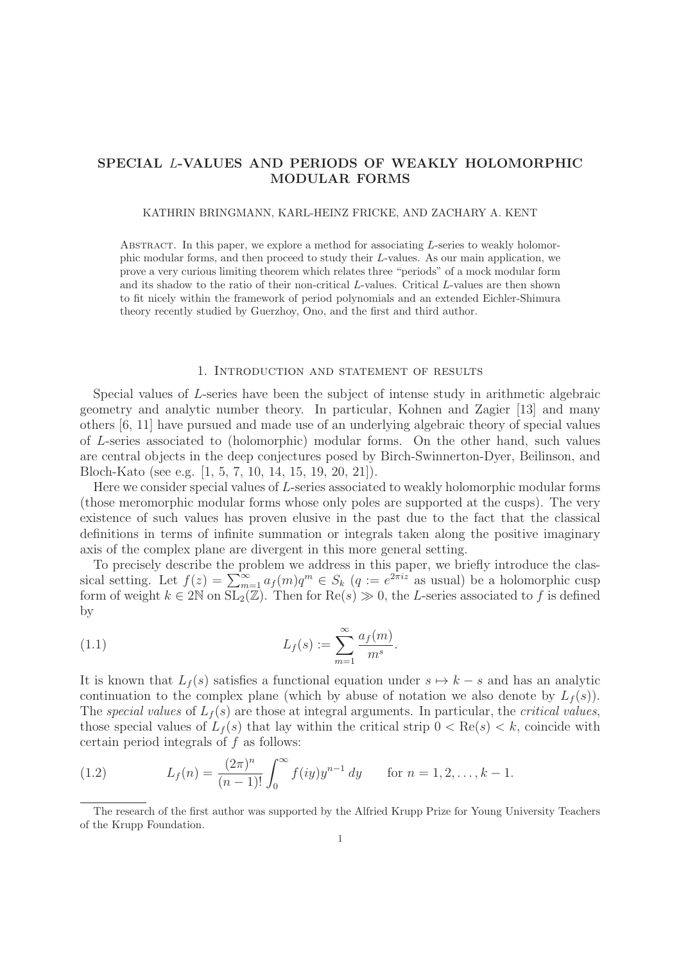# **SPECIAL** L**-VALUES AND PERIODS OF WEAKLY HOLOMORPHIC MODULAR FORMS**

#### KATHRIN BRINGMANN, KARL-HEINZ FRICKE, AND ZACHARY A. KENT

ABSTRACT. In this paper, we explore a method for associating  $L$ -series to weakly holomorphic modular forms, and then proceed to study their L-values. As our main application, we prove a very curious limiting theorem which relates three "periods" of a mock modular form and its shadow to the ratio of their non-critical L-values. Critical L-values are then shown to fit nicely within the framework of period polynomials and an extended Eichler-Shimura theory recently studied by Guerzhoy, Ono, and the first and third author.

## 1. Introduction and statement of results

Special values of L-series have been the subject of intense study in arithmetic algebraic geometry and analytic number theory. In particular, Kohnen and Zagier [13] and many others [6, 11] have pursued and made use of an underlying algebraic theory of special values of L-series associated to (holomorphic) modular forms. On the other hand, such values are central objects in the deep conjectures posed by Birch-Swinnerton-Dyer, Beilinson, and Bloch-Kato (see e.g. [1, 5, 7, 10, 14, 15, 19, 20, 21]).

Here we consider special values of L-series associated to weakly holomorphic modular forms (those meromorphic modular forms whose only poles are supported at the cusps). The very existence of such values has proven elusive in the past due to the fact that the classical definitions in terms of infinite summation or integrals taken along the positive imaginary axis of the complex plane are divergent in this more general setting.

To precisely describe the problem we address in this paper, we briefly introduce the classical setting. Let  $f(z) = \sum_{m=1}^{\infty} a_f(m)q^m \in S_k$   $(q := e^{2\pi i z}$  as usual) be a holomorphic cusp form of weight  $k \in 2\mathbb{N}$  on  $SL_2(\mathbb{Z})$ . Then for  $\text{Re}(s) \gg 0$ , the L-series associated to f is defined by

(1.1) 
$$
L_f(s) := \sum_{m=1}^{\infty} \frac{a_f(m)}{m^s}.
$$

It is known that  $L_f(s)$  satisfies a functional equation under  $s \mapsto k - s$  and has an analytic continuation to the complex plane (which by abuse of notation we also denote by  $L_f(s)$ ). The special values of  $L_f(s)$  are those at integral arguments. In particular, the critical values, those special values of  $L_f(s)$  that lay within the critical strip  $0 < \text{Re}(s) < k$ , coincide with certain period integrals of  $f$  as follows:

(1.2) 
$$
L_f(n) = \frac{(2\pi)^n}{(n-1)!} \int_0^\infty f(iy) y^{n-1} dy \quad \text{for } n = 1, 2, ..., k-1.
$$

The research of the first author was supported by the Alfried Krupp Prize for Young University Teachers of the Krupp Foundation.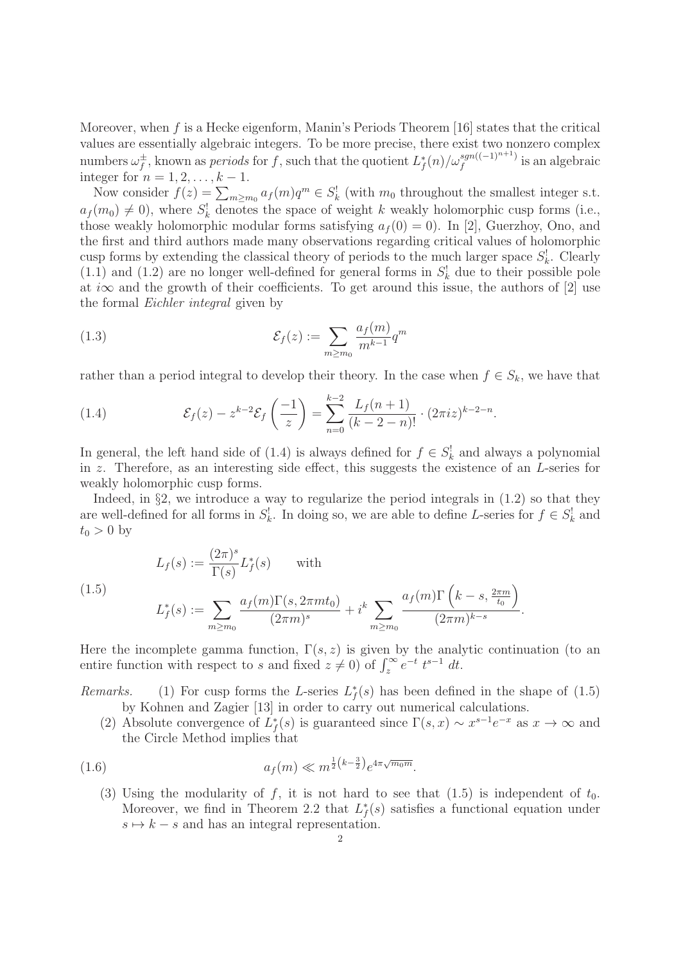Moreover, when f is a Hecke eigenform, Manin's Periods Theorem [16] states that the critical values are essentially algebraic integers. To be more precise, there exist two nonzero complex numbers  $\omega_f^{\pm}$ , known as *periods* for f, such that the quotient  $L_f^*(n)/\omega_f^{sgn((-1)^{n+1})}$  is an algebraic integer for  $n = 1, 2, \ldots, k - 1$ .

Now consider  $f(z) = \sum_{m \ge m_0} a_f(m)q^m \in S_k^!$  (with  $m_0$  throughout the smallest integer s.t.  $a_f(m_0) \neq 0$ , where  $S_k^!$  denotes the space of weight k weakly holomorphic cusp forms (i.e., those weakly holomorphic modular forms satisfying  $a_f(0) = 0$ . In [2], Guerzhoy, Ono, and the first and third authors made many observations regarding critical values of holomorphic cusp forms by extending the classical theory of periods to the much larger space  $S_k^!$ . Clearly  $(1.1)$  and  $(1.2)$  are no longer well-defined for general forms in  $S_k^!$  due to their possible pole at i $\infty$  and the growth of their coefficients. To get around this issue, the authors of [2] use the formal Eichler integral given by

(1.3) 
$$
\mathcal{E}_f(z) := \sum_{m \ge m_0} \frac{a_f(m)}{m^{k-1}} q^m
$$

rather than a period integral to develop their theory. In the case when  $f \in S_k$ , we have that

(1.4) 
$$
\mathcal{E}_f(z) - z^{k-2} \mathcal{E}_f\left(\frac{-1}{z}\right) = \sum_{n=0}^{k-2} \frac{L_f(n+1)}{(k-2-n)!} \cdot (2\pi i z)^{k-2-n}.
$$

In general, the left hand side of (1.4) is always defined for  $f \in S_k^!$  and always a polynomial in z. Therefore, as an interesting side effect, this suggests the existence of an L-series for weakly holomorphic cusp forms.

Indeed, in  $\S$ 2, we introduce a way to regularize the period integrals in  $(1.2)$  so that they are well-defined for all forms in  $S_k^!$ . In doing so, we are able to define L-series for  $f \in S_k^!$  and  $t_0 > 0$  by

1.5)  

$$
L_f(s) := \frac{(2\pi)^s}{\Gamma(s)} L_f^*(s) \quad \text{with}
$$
  

$$
L_f^*(s) := \sum_{m \ge m_0} \frac{a_f(m)\Gamma(s, 2\pi mt_0)}{(2\pi m)^s} + i^k \sum_{m \ge m_0} \frac{a_f(m)\Gamma(k - s, \frac{2\pi m}{t_0})}{(2\pi m)^{k - s}}.
$$

Here the incomplete gamma function,  $\Gamma(s, z)$  is given by the analytic continuation (to an entire function with respect to s and fixed  $z \neq 0$  of  $\int_z^{\infty} e^{-t} t^{s-1} dt$ .

Remarks. (1) For cusp forms the L-series  $L_f^*(s)$  has been defined in the shape of (1.5) by Kohnen and Zagier [13] in order to carry out numerical calculations.

(2) Absolute convergence of  $L_f^*(s)$  is guaranteed since  $\Gamma(s,x) \sim x^{s-1}e^{-x}$  as  $x \to \infty$  and the Circle Method implies that

(1.6) 
$$
a_f(m) \ll m^{\frac{1}{2}(k-\frac{3}{2})}e^{4\pi\sqrt{m_0m}}.
$$

 $($ 

(3) Using the modularity of f, it is not hard to see that  $(1.5)$  is independent of  $t_0$ . Moreover, we find in Theorem 2.2 that  $L_f^*(s)$  satisfies a functional equation under  $s \mapsto k - s$  and has an integral representation.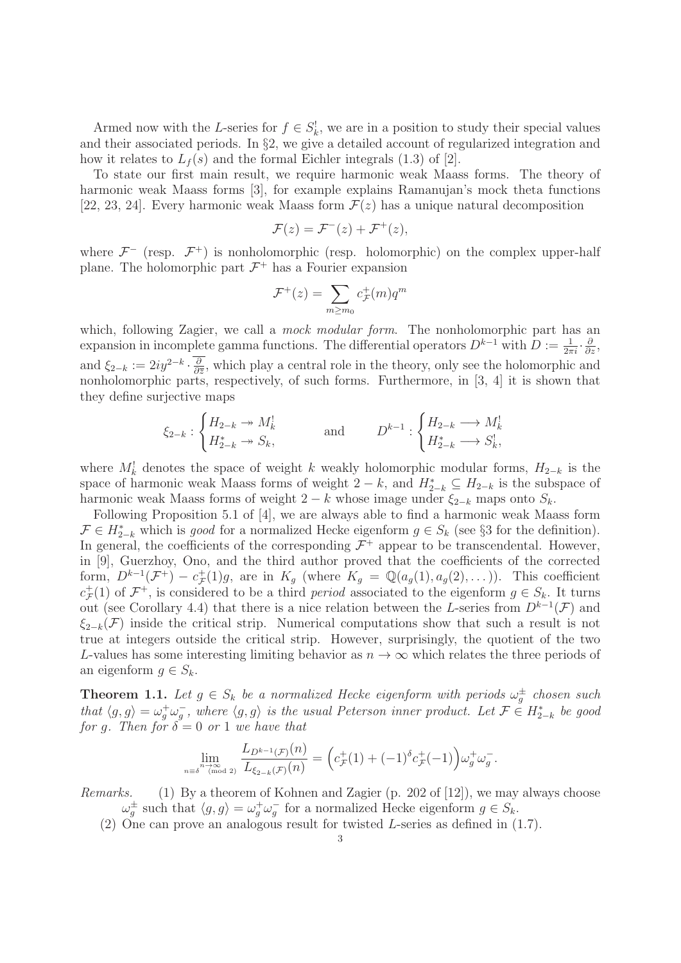Armed now with the L-series for  $f \in S_k^!$ , we are in a position to study their special values and their associated periods. In §2, we give a detailed account of regularized integration and how it relates to  $L_f(s)$  and the formal Eichler integrals (1.3) of [2].

To state our first main result, we require harmonic weak Maass forms. The theory of harmonic weak Maass forms [3], for example explains Ramanujan's mock theta functions [22, 23, 24]. Every harmonic weak Maass form  $\mathcal{F}(z)$  has a unique natural decomposition

$$
\mathcal{F}(z) = \mathcal{F}^-(z) + \mathcal{F}^+(z),
$$

where  $\mathcal{F}^-$  (resp.  $\mathcal{F}^+$ ) is nonholomorphic (resp. holomorphic) on the complex upper-half plane. The holomorphic part  $\mathcal{F}^+$  has a Fourier expansion

$$
\mathcal{F}^+(z) = \sum_{m \ge m_0} c_{\mathcal{F}}^+(m) q^m
$$

which, following Zagier, we call a *mock modular form*. The nonholomorphic part has an expansion in incomplete gamma functions. The differential operators  $D^{k-1}$  with  $D := \frac{1}{2\pi i} \cdot \frac{\partial}{\partial z}$ , and  $\xi_{2-k} := 2iy^{2-k} \cdot \frac{\partial}{\partial \overline{z}}$ , which play a central role in the theory, only see the holomorphic and nonholomorphic parts, respectively, of such forms. Furthermore, in [3, 4] it is shown that they define surjective maps

$$
\xi_{2-k}: \begin{cases} H_{2-k} \twoheadrightarrow M_k^! \\ H_{2-k}^* \twoheadrightarrow S_k, \end{cases} \qquad \text{and} \qquad D^{k-1}: \begin{cases} H_{2-k} \longrightarrow M_k^! \\ H_{2-k}^* \longrightarrow S_k^! \end{cases}
$$

where  $M_k^!$  denotes the space of weight k weakly holomorphic modular forms,  $H_{2-k}$  is the space of harmonic weak Maass forms of weight  $2 - k$ , and  $H_{2-k}^* \subseteq H_{2-k}$  is the subspace of harmonic weak Maass forms of weight 2 − k whose image under  $\xi_{2-k}$  maps onto  $S_k$ .

Following Proposition 5.1 of [4], we are always able to find a harmonic weak Maass form  $\mathcal{F} \in H_{2-k}^*$  which is good for a normalized Hecke eigenform  $g \in S_k$  (see §3 for the definition). In general, the coefficients of the corresponding  $\mathcal{F}^+$  appear to be transcendental. However, in [9], Guerzhoy, Ono, and the third author proved that the coefficients of the corrected form,  $D^{k-1}(\mathcal{F}^+)-c_{\mathcal{F}}^+(1)g$ , are in  $K_g$  (where  $K_g = \mathbb{Q}(a_g(1), a_g(2),...)$ ). This coefficient  $c_{\mathcal{F}}^+(1)$  of  $\mathcal{F}^+$ , is considered to be a third *period* associated to the eigenform  $g \in S_k$ . It turns out (see Corollary 4.4) that there is a nice relation between the L-series from  $D^{k-1}(\mathcal{F})$  and  $\xi_{2-k}(\mathcal{F})$  inside the critical strip. Numerical computations show that such a result is not true at integers outside the critical strip. However, surprisingly, the quotient of the two L-values has some interesting limiting behavior as  $n \to \infty$  which relates the three periods of an eigenform  $q \in S_k$ .

**Theorem 1.1.** Let  $g \in S_k$  be a normalized Hecke eigenform with periods  $\omega_g^{\pm}$  chosen such that  $\langle g, g \rangle = \omega_g^+ \omega_g^-$ , where  $\langle g, g \rangle$  is the usual Peterson inner product. Let  $\mathcal{F} \in H_{2-k}^*$  be good for q. Then for  $\delta = 0$  or 1 we have that

$$
\lim_{n \to \infty} \frac{L_{D^{k-1}(\mathcal{F})}(n)}{L_{\xi_{2-k}(\mathcal{F})}(n)} = \left(c_{\mathcal{F}}^{+}(1) + (-1)^{\delta} c_{\mathcal{F}}^{+}(-1)\right) \omega_{g}^{+} \omega_{g}^{-}.
$$

Remarks. (1) By a theorem of Kohnen and Zagier (p. 202 of [12]), we may always choose  $\omega_g^{\pm}$  such that  $\langle g, g \rangle = \omega_g^{\pm} \omega_g^-$  for a normalized Hecke eigenform  $g \in S_k$ .

(2) One can prove an analogous result for twisted L-series as defined in (1.7).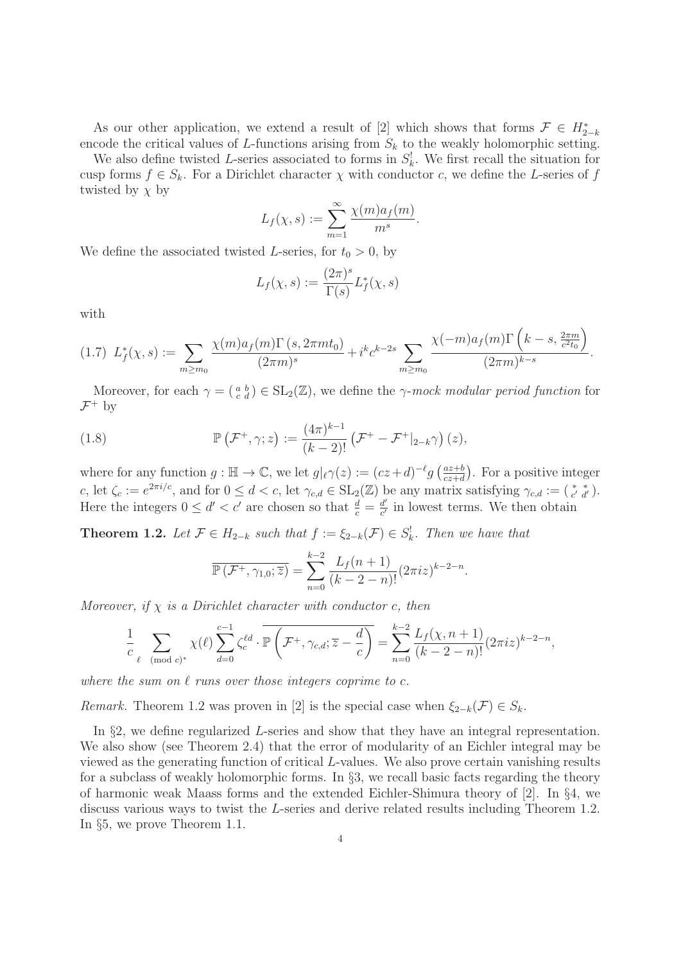As our other application, we extend a result of [2] which shows that forms  $\mathcal{F} \in H_{2-k}^*$ encode the critical values of  $L$ -functions arising from  $S_k$  to the weakly holomorphic setting.

We also define twisted L-series associated to forms in  $S_k^!$ . We first recall the situation for cusp forms  $f \in S_k$ . For a Dirichlet character  $\chi$  with conductor c, we define the L-series of f twisted by  $\chi$  by

$$
L_f(\chi, s) := \sum_{m=1}^{\infty} \frac{\chi(m)a_f(m)}{m^s}.
$$

We define the associated twisted L-series, for  $t_0 > 0$ , by

$$
L_f(\chi, s) := \frac{(2\pi)^s}{\Gamma(s)} L_f^*(\chi, s)
$$

with

$$
(1.7) \ L_f^*(\chi, s) := \sum_{m \ge m_0} \frac{\chi(m)a_f(m)\Gamma(s, 2\pi mt_0)}{(2\pi m)^s} + i^k c^{k-2s} \sum_{m \ge m_0} \frac{\chi(-m)a_f(m)\Gamma\left(k-s, \frac{2\pi m}{c^2 t_0}\right)}{(2\pi m)^{k-s}}.
$$

Moreover, for each  $\gamma = \begin{pmatrix} a & b \\ c & d \end{pmatrix} \in SL_2(\mathbb{Z})$ , we define the  $\gamma$ -mock modular period function for  $\mathcal{F}^+$  by

(1.8) 
$$
\mathbb{P}\left(\mathcal{F}^+,\gamma;z\right):=\frac{(4\pi)^{k-1}}{(k-2)!}\left(\mathcal{F}^+-\mathcal{F}^+|_{2-k}\gamma\right)(z),
$$

where for any function  $g : \mathbb{H} \to \mathbb{C}$ , we let  $g|_{\ell} \gamma(z) := (cz+d)^{-\ell} g\left(\frac{az+b}{cz+d}\right)$ . For a positive integer c, let  $\zeta_c := e^{2\pi i/c}$ , and for  $0 \le d < c$ , let  $\gamma_{c,d} \in SL_2(\mathbb{Z})$  be any matrix satisfying  $\gamma_{c,d} := \begin{pmatrix} * & * \\ c' & d' \end{pmatrix}$ . Here the integers  $0 \le d' < c'$  are chosen so that  $\frac{d}{c} = \frac{d'}{c'}$  in lowest terms. We then obtain

**Theorem 1.2.** Let  $\mathcal{F} \in H_{2-k}$  such that  $f := \xi_{2-k}(\mathcal{F}) \in S_k^!$ . Then we have that

$$
\overline{\mathbb{P}(\mathcal{F}^+, \gamma_{1,0}; \overline{z})} = \sum_{n=0}^{k-2} \frac{L_f(n+1)}{(k-2-n)!} (2\pi i z)^{k-2-n}.
$$

Moreover, if  $\chi$  is a Dirichlet character with conductor c, then

$$
\frac{1}{c}\sum_{\ell \pmod{c}^*}\chi(\ell)\sum_{d=0}^{c-1}\zeta_c^{\ell d}\cdot\overline{\mathbb{P}\left(\mathcal{F}^+,\gamma_{c,d};\overline{z}-\frac{d}{c}\right)}=\sum_{n=0}^{k-2}\frac{L_f(\chi,n+1)}{(k-2-n)!}(2\pi iz)^{k-2-n},
$$

where the sum on  $\ell$  runs over those integers coprime to c.

Remark. Theorem 1.2 was proven in [2] is the special case when  $\xi_{2-k}(\mathcal{F}) \in S_k$ .

In §2, we define regularized L-series and show that they have an integral representation. We also show (see Theorem 2.4) that the error of modularity of an Eichler integral may be viewed as the generating function of critical L-values. We also prove certain vanishing results for a subclass of weakly holomorphic forms. In §3, we recall basic facts regarding the theory of harmonic weak Maass forms and the extended Eichler-Shimura theory of [2]. In §4, we discuss various ways to twist the L-series and derive related results including Theorem 1.2. In §5, we prove Theorem 1.1.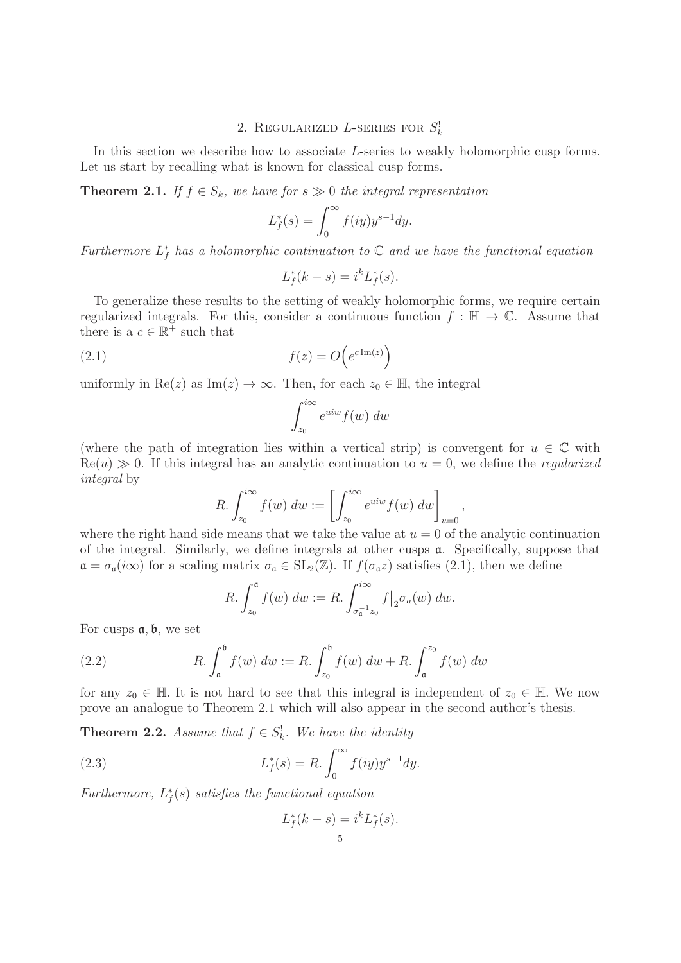# 2. REGULARIZED *L*-SERIES FOR  $S_k^!$

In this section we describe how to associate L-series to weakly holomorphic cusp forms. Let us start by recalling what is known for classical cusp forms.

**Theorem 2.1.** If  $f \in S_k$ , we have for  $s \gg 0$  the integral representation

$$
L_f^*(s) = \int_0^\infty f(iy) y^{s-1} dy.
$$

Furthermore  $L_f^*$  has a holomorphic continuation to  $\mathbb C$  and we have the functional equation

$$
L_f^*(k - s) = i^k L_f^*(s).
$$

To generalize these results to the setting of weakly holomorphic forms, we require certain regularized integrals. For this, consider a continuous function  $f : \mathbb{H} \to \mathbb{C}$ . Assume that there is a  $c \in \mathbb{R}^+$  such that

(2.1) 
$$
f(z) = O\left(e^{c \operatorname{Im}(z)}\right)
$$

uniformly in  $\text{Re}(z)$  as  $\text{Im}(z) \to \infty$ . Then, for each  $z_0 \in \mathbb{H}$ , the integral

$$
\int_{z_0}^{i\infty} e^{uiw} f(w) \ dw
$$

(where the path of integration lies within a vertical strip) is convergent for  $u \in \mathbb{C}$  with  $\text{Re}(u) \gg 0$ . If this integral has an analytic continuation to  $u = 0$ , we define the *regularized* integral by

$$
R. \int_{z_0}^{i\infty} f(w) \, dw := \left[ \int_{z_0}^{i\infty} e^{uiw} f(w) \, dw \right]_{u=0},
$$

where the right hand side means that we take the value at  $u = 0$  of the analytic continuation of the integral. Similarly, we define integrals at other cusps  $a$ . Specifically, suppose that  $\mathfrak{a} = \sigma_{\mathfrak{a}}(i\infty)$  for a scaling matrix  $\sigma_{\mathfrak{a}} \in SL_2(\mathbb{Z})$ . If  $f(\sigma_{\mathfrak{a}}z)$  satisfies  $(2.1)$ , then we define

$$
R. \int_{z_0}^{\mathfrak{a}} f(w) \ dw := R. \int_{\sigma_{\mathfrak{a}}^{-1} z_0}^{\infty} f \big|_{2} \sigma_a(w) \ dw.
$$

For cusps  $a, b$ , we set

(2.2) 
$$
R. \int_{\mathfrak{a}}^{\mathfrak{b}} f(w) \, dw := R. \int_{z_0}^{\mathfrak{b}} f(w) \, dw + R. \int_{\mathfrak{a}}^{z_0} f(w) \, dw
$$

for any  $z_0 \in \mathbb{H}$ . It is not hard to see that this integral is independent of  $z_0 \in \mathbb{H}$ . We now prove an analogue to Theorem 2.1 which will also appear in the second author's thesis.

**Theorem 2.2.** Assume that  $f \in S_k^!$ . We have the identity

(2.3) 
$$
L_f^*(s) = R \cdot \int_0^\infty f(iy) y^{s-1} dy.
$$

Furthermore,  $L_f^*(s)$  satisfies the functional equation

$$
L_f^*(k-s) = i^k L_f^*(s).
$$
  
<sub>5</sub>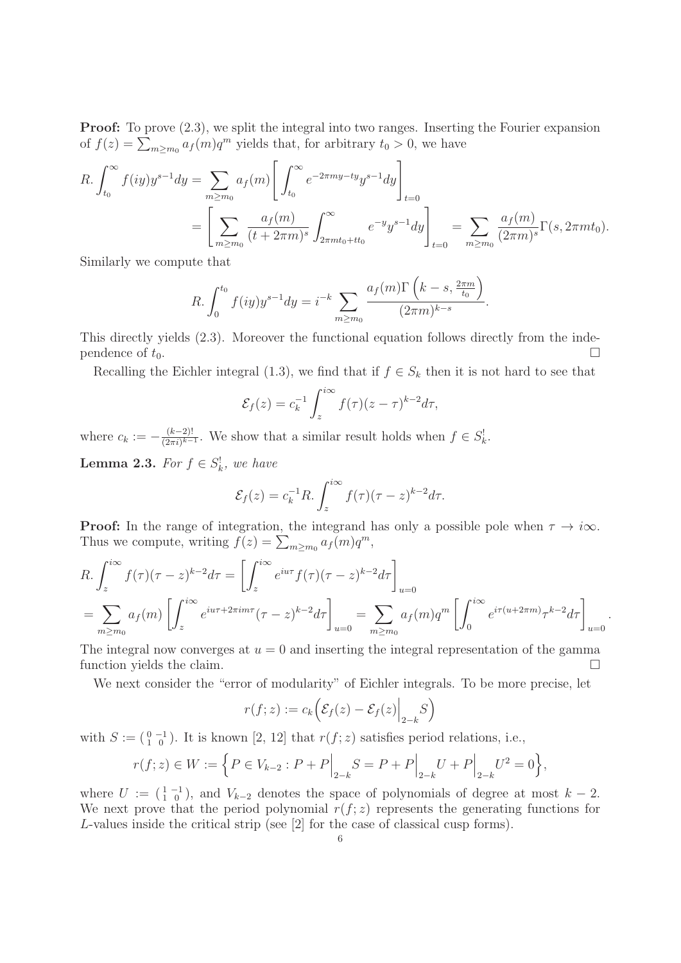**Proof:** To prove  $(2.3)$ , we split the integral into two ranges. Inserting the Fourier expansion of  $f(z) = \sum_{m \ge m_0} a_f(m) q^m$  yields that, for arbitrary  $t_0 > 0$ , we have

$$
R. \int_{t_0}^{\infty} f(iy)y^{s-1} dy = \sum_{m \ge m_0} a_f(m) \left[ \int_{t_0}^{\infty} e^{-2\pi my - ty} y^{s-1} dy \right]_{t=0}
$$
  
=  $\left[ \sum_{m \ge m_0} \frac{a_f(m)}{(t + 2\pi m)^s} \int_{2\pi m t_0 + t t_0}^{\infty} e^{-y} y^{s-1} dy \right]_{t=0} = \sum_{m \ge m_0} \frac{a_f(m)}{(2\pi m)^s} \Gamma(s, 2\pi m t_0).$ 

Similarly we compute that

$$
R. \int_0^{t_0} f(iy)y^{s-1} dy = i^{-k} \sum_{m \ge m_0} \frac{a_f(m)\Gamma\left(k - s, \frac{2\pi m}{t_0}\right)}{(2\pi m)^{k-s}}.
$$

This directly yields (2.3). Moreover the functional equation follows directly from the independence of  $t_0$ .

Recalling the Eichler integral (1.3), we find that if  $f \in S_k$  then it is not hard to see that

$$
\mathcal{E}_f(z) = c_k^{-1} \int_z^{i\infty} f(\tau) (z - \tau)^{k-2} d\tau,
$$

where  $c_k := -\frac{(k-2)!}{(2\pi i)^{k-1}}$ . We show that a similar result holds when  $f \in S_k^!$ .

**Lemma 2.3.** For  $f \in S_k^!$ , we have

$$
\mathcal{E}_f(z) = c_k^{-1} R \cdot \int_z^{i\infty} f(\tau) (\tau - z)^{k-2} d\tau.
$$

**Proof:** In the range of integration, the integrand has only a possible pole when  $\tau \to i\infty$ . Thus we compute, writing  $f(z) = \sum_{m \ge m_0} a_f(m)q^m$ ,

$$
R. \int_z^{i\infty} f(\tau)(\tau - z)^{k-2} d\tau = \left[ \int_z^{i\infty} e^{iu\tau} f(\tau)(\tau - z)^{k-2} d\tau \right]_{u=0}
$$
  
= 
$$
\sum_{m \ge m_0} a_f(m) \left[ \int_z^{i\infty} e^{iu\tau + 2\pi im\tau} (\tau - z)^{k-2} d\tau \right]_{u=0} = \sum_{m \ge m_0} a_f(m) q^m \left[ \int_0^{i\infty} e^{i\tau(u + 2\pi m)} \tau^{k-2} d\tau \right]_{u=0}.
$$

The integral now converges at  $u = 0$  and inserting the integral representation of the gamma function yields the claim.

We next consider the "error of modularity" of Eichler integrals. To be more precise, let

$$
r(f; z) := c_k \Big( \mathcal{E}_f(z) - \mathcal{E}_f(z) \Big|_{2-k} S \Big)
$$

with  $S := \begin{pmatrix} 0 & -1 \\ 1 & 0 \end{pmatrix}$ . It is known [2, 12] that  $r(f; z)$  satisfies period relations, i.e.,

$$
r(f; z) \in W := \left\{ P \in V_{k-2} : P + P \Big|_{2-k} S = P + P \Big|_{2-k} U + P \Big|_{2-k} U^2 = 0 \right\},\
$$

where  $U := (\begin{smallmatrix} 1 & -1 \\ 1 & 0 \end{smallmatrix})$ , and  $V_{k-2}$  denotes the space of polynomials of degree at most  $k-2$ . We next prove that the period polynomial  $r(f; z)$  represents the generating functions for L-values inside the critical strip (see [2] for the case of classical cusp forms).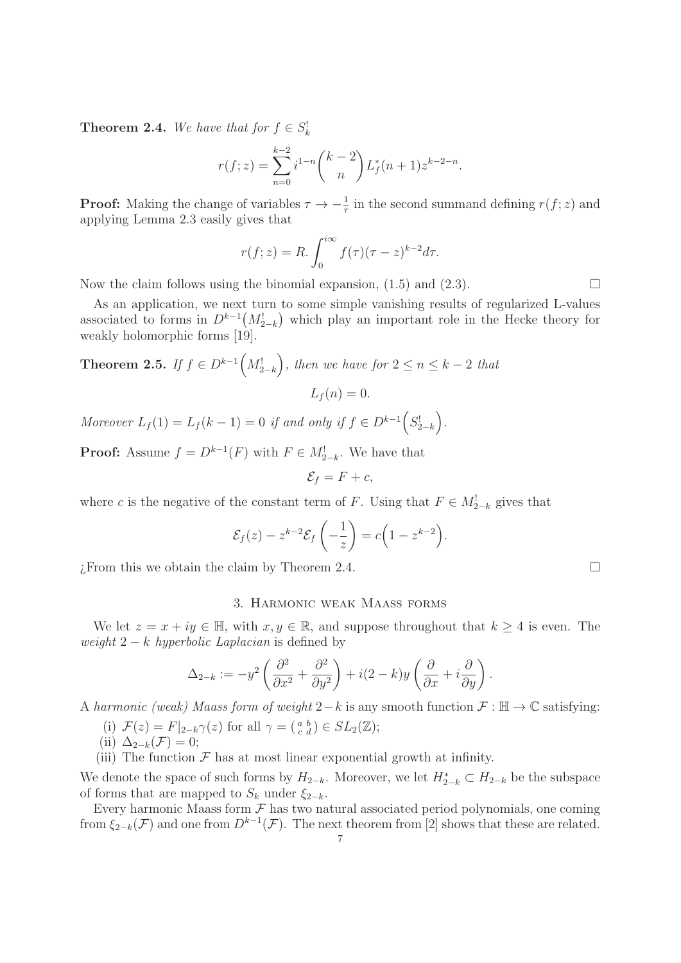**Theorem 2.4.** We have that for  $f \in S_k^!$ 

$$
r(f; z) = \sum_{n=0}^{k-2} i^{1-n} {k-2 \choose n} L_f^*(n+1) z^{k-2-n}.
$$

**Proof:** Making the change of variables  $\tau \to -\frac{1}{\tau}$  in the second summand defining  $r(f; z)$  and applying Lemma 2.3 easily gives that

$$
r(f; z) = R \cdot \int_0^{i\infty} f(\tau) (\tau - z)^{k-2} d\tau.
$$

Now the claim follows using the binomial expansion,  $(1.5)$  and  $(2.3)$ .

As an application, we next turn to some simple vanishing results of regularized L-values associated to forms in  $D^{k-1}(M_{2-k}^!)$  which play an important role in the Hecke theory for weakly holomorphic forms [19].

**Theorem 2.5.** If 
$$
f \in D^{k-1}(M_{2-k}^!
$$
, then we have for  $2 \le n \le k-2$  that  

$$
L_f(n) = 0.
$$

Moreover  $L_f(1) = L_f(k-1) = 0$  if and only if  $f \in D^{k-1}\Big(S^!_{2-k}\Big)$ .

**Proof:** Assume  $f = D^{k-1}(F)$  with  $F \in M^!_{2-k}$ . We have that

$$
\mathcal{E}_f = F + c,
$$

where c is the negative of the constant term of F. Using that  $F \in M_{2-k}^!$  gives that

$$
\mathcal{E}_f(z) - z^{k-2} \mathcal{E}_f\left(-\frac{1}{z}\right) = c\Big(1 - z^{k-2}\Big).
$$

 $\Box$  Erom this we obtain the claim by Theorem 2.4.

## 3. Harmonic weak Maass forms

We let  $z = x + iy \in \mathbb{H}$ , with  $x, y \in \mathbb{R}$ , and suppose throughout that  $k \geq 4$  is even. The weight  $2 - k$  hyperbolic Laplacian is defined by

$$
\Delta_{2-k}:=-y^2\left(\frac{\partial^2}{\partial x^2}+\frac{\partial^2}{\partial y^2}\right)+i(2-k)y\left(\frac{\partial}{\partial x}+i\frac{\partial}{\partial y}\right).
$$

A harmonic (weak) Maass form of weight 2−k is any smooth function  $\mathcal{F} : \mathbb{H} \to \mathbb{C}$  satisfying:

- (i)  $\mathcal{F}(z) = F|_{2-k}\gamma(z)$  for all  $\gamma = \begin{pmatrix} a & b \\ c & d \end{pmatrix} \in SL_2(\mathbb{Z});$
- (ii)  $\Delta_{2-k}(\mathcal{F})=0;$
- (iii) The function  $\mathcal F$  has at most linear exponential growth at infinity.

We denote the space of such forms by  $H_{2-k}$ . Moreover, we let  $H_{2-k}^* \subset H_{2-k}$  be the subspace of forms that are mapped to  $S_k$  under  $\xi_{2-k}$ .

Every harmonic Maass form  $\mathcal F$  has two natural associated period polynomials, one coming from  $\xi_{2-k}(\mathcal{F})$  and one from  $D^{k-1}(\mathcal{F})$ . The next theorem from [2] shows that these are related.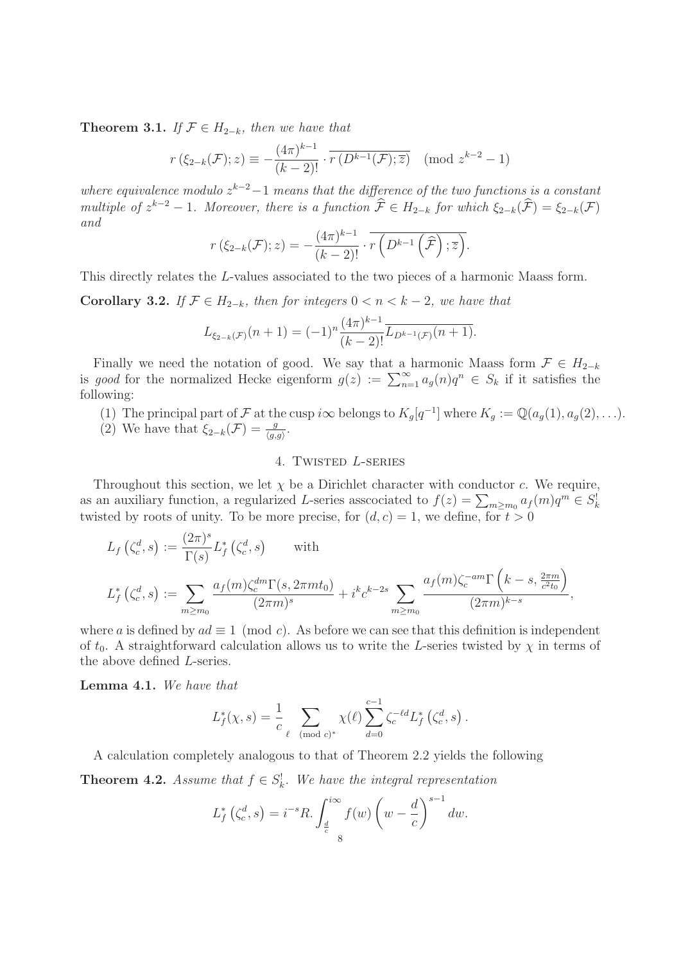**Theorem 3.1.** If  $\mathcal{F} \in H_{2-k}$ , then we have that

$$
r(\xi_{2-k}(\mathcal{F}); z) \equiv -\frac{(4\pi)^{k-1}}{(k-2)!} \cdot \overline{r(D^{k-1}(\mathcal{F}); \overline{z})} \pmod{z^{k-2}-1}
$$

where equivalence modulo  $z^{k-2}-1$  means that the difference of the two functions is a constant multiple of  $z^{k-2} - 1$ . Moreover, there is a function  $\widehat{\mathcal{F}} \in H_{2-k}$  for which  $\xi_{2-k}(\widehat{\mathcal{F}}) = \xi_{2-k}(\mathcal{F})$ and

$$
r(\xi_{2-k}(\mathcal{F}); z) = -\frac{(4\pi)^{k-1}}{(k-2)!} \cdot \overline{r(D^{k-1}(\widehat{\mathcal{F}}); \overline{z})}.
$$

This directly relates the L-values associated to the two pieces of a harmonic Maass form.

**Corollary 3.2.** If  $\mathcal{F} \in H_{2-k}$ , then for integers  $0 < n < k-2$ , we have that

$$
L_{\xi_{2-k}(\mathcal{F})}(n+1) = (-1)^n \frac{(4\pi)^{k-1}}{(k-2)!} \overline{L_{D^{k-1}(\mathcal{F})}(n+1)}.
$$

Finally we need the notation of good. We say that a harmonic Maass form  $\mathcal{F} \in H_{2-k}$ is good for the normalized Hecke eigenform  $g(z) := \sum_{n=1}^{\infty} a_g(n)q^n \in S_k$  if it satisfies the following:

- (1) The principal part of F at the cusp i $\infty$  belongs to  $K_g[q^{-1}]$  where  $K_g := \mathbb{Q}(a_g(1), a_g(2), \ldots)$ .
- (2) We have that  $\xi_{2-k}(\mathcal{F}) = \frac{g}{\langle g,g \rangle}$ .

# 4. Twisted L-series

Throughout this section, we let  $\chi$  be a Dirichlet character with conductor c. We require, as an auxiliary function, a regularized L-series assocciated to  $f(z) = \sum_{m \ge m_0} a_f(m)q^m \in S_k^0$ twisted by roots of unity. To be more precise, for  $(d, c) = 1$ , we define, for  $t > 0$ 

$$
L_f\left(\zeta_c^d, s\right) := \frac{(2\pi)^s}{\Gamma(s)} L_f^*\left(\zeta_c^d, s\right) \qquad \text{with}
$$
  

$$
L_f^*\left(\zeta_c^d, s\right) := \sum_{m \ge m_0} \frac{a_f(m)\zeta_c^{dm} \Gamma(s, 2\pi mt_0)}{(2\pi m)^s} + i^k c^{k-2s} \sum_{m \ge m_0} \frac{a_f(m)\zeta_c^{-am} \Gamma\left(k-s, \frac{2\pi m}{c^2 t_0}\right)}{(2\pi m)^{k-s}},
$$

where a is defined by  $ad \equiv 1 \pmod{c}$ . As before we can see that this definition is independent of  $t_0$ . A straightforward calculation allows us to write the L-series twisted by  $\chi$  in terms of the above defined L-series.

**Lemma 4.1.** We have that

$$
L_f^*(\chi, s) = \frac{1}{c} \sum_{\ell \pmod{c}^*} \chi(\ell) \sum_{d=0}^{c-1} \zeta_c^{-\ell d} L_f^* (\zeta_c^d, s).
$$

A calculation completely analogous to that of Theorem 2.2 yields the following

**Theorem 4.2.** Assume that  $f \in S_k^!$ . We have the integral representation

$$
L_f^*\left(\zeta_c^d, s\right) = i^{-s}R \cdot \int_{\frac{d}{c}}^{i\infty} f(w) \left(w - \frac{d}{c}\right)^{s-1} dw.
$$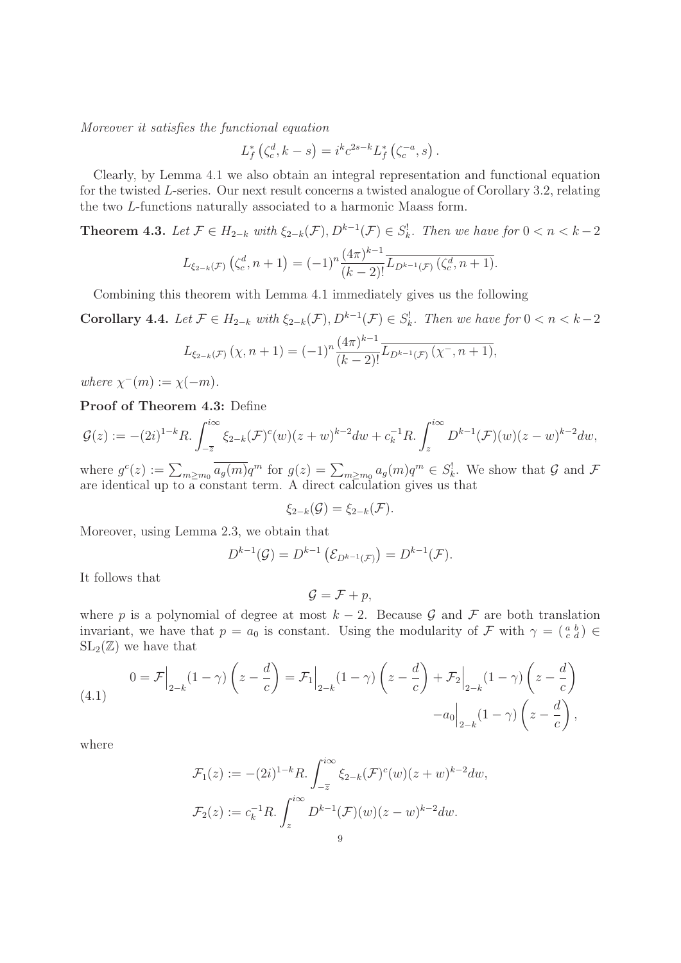Moreover it satisfies the functional equation

$$
L_f^*\left(\zeta_c^d, k-s\right) = i^k c^{2s-k} L_f^*\left(\zeta_c^{-a}, s\right).
$$

Clearly, by Lemma 4.1 we also obtain an integral representation and functional equation for the twisted L-series. Our next result concerns a twisted analogue of Corollary 3.2, relating the two L-functions naturally associated to a harmonic Maass form.

**Theorem 4.3.** Let  $\mathcal{F} \in H_{2-k}$  with  $\xi_{2-k}(\mathcal{F}), D^{k-1}(\mathcal{F}) \in S_k^!$ . Then we have for  $0 < n < k-2$ 

$$
L_{\xi_{2-k}(\mathcal{F})}\left(\zeta_c^d, n+1\right) = (-1)^n \frac{(4\pi)^{k-1}}{(k-2)!} \overline{L_{D^{k-1}(\mathcal{F})}\left(\zeta_c^d, n+1\right)}.
$$

Combining this theorem with Lemma 4.1 immediately gives us the following

**Corollary 4.4.** Let  $\mathcal{F} \in H_{2-k}$  with  $\xi_{2-k}(\mathcal{F}), D^{k-1}(\mathcal{F}) \in S_k^!$ . Then we have for  $0 < n < k-2$ 

$$
L_{\xi_{2-k}(\mathcal{F})}(\chi,n+1) = (-1)^n \frac{(4\pi)^{k-1}}{(k-2)!} \overline{L_{D^{k-1}(\mathcal{F})}(\chi^-,n+1)},
$$

where  $\chi^-(m) := \chi(-m)$ .

**Proof of Theorem 4.3:** Define

$$
\mathcal{G}(z) := -(2i)^{1-k} R \cdot \int_{-\overline{z}}^{i\infty} \xi_{2-k}(\mathcal{F})^c(w) (z+w)^{k-2} dw + c_k^{-1} R \cdot \int_z^{i\infty} D^{k-1}(\mathcal{F}) (w) (z-w)^{k-2} dw,
$$

where  $g^{c}(z) := \sum_{m \geq m_0} \overline{a_g(m)} q^m$  for  $g(z) = \sum_{m \geq m_0} a_g(m) q^m \in S_k^!$ . We show that G and F are identical up to a constant term. A direct calculation gives us that

 $\xi_{2-k}(\mathcal{G}) = \xi_{2-k}(\mathcal{F}).$ 

Moreover, using Lemma 2.3, we obtain that

$$
D^{k-1}(\mathcal{G})=D^{k-1}\left(\mathcal{E}_{D^{k-1}(\mathcal{F})}\right)=D^{k-1}(\mathcal{F}).
$$

It follows that

$$
\mathcal{G} = \mathcal{F} + p,
$$

where p is a polynomial of degree at most  $k-2$ . Because G and F are both translation invariant, we have that  $p = a_0$  is constant. Using the modularity of  $\mathcal F$  with  $\gamma = \begin{pmatrix} a & b \\ c & d \end{pmatrix} \in \mathbb{R}$  $SL_2(\mathbb{Z})$  we have that

(4.1) 
$$
0 = \mathcal{F}\Big|_{2-k}(1-\gamma)\left(z-\frac{d}{c}\right) = \mathcal{F}_1\Big|_{2-k}(1-\gamma)\left(z-\frac{d}{c}\right) + \mathcal{F}_2\Big|_{2-k}(1-\gamma)\left(z-\frac{d}{c}\right) - a_0\Big|_{2-k}(1-\gamma)\left(z-\frac{d}{c}\right),
$$

where

$$
\mathcal{F}_1(z) := -(2i)^{1-k} R \cdot \int_{-\overline{z}}^{i\infty} \xi_{2-k}(\mathcal{F})^c(w) (z+w)^{k-2} dw,
$$
  

$$
\mathcal{F}_2(z) := c_k^{-1} R \cdot \int_z^{i\infty} D^{k-1}(\mathcal{F}) (w) (z-w)^{k-2} dw.
$$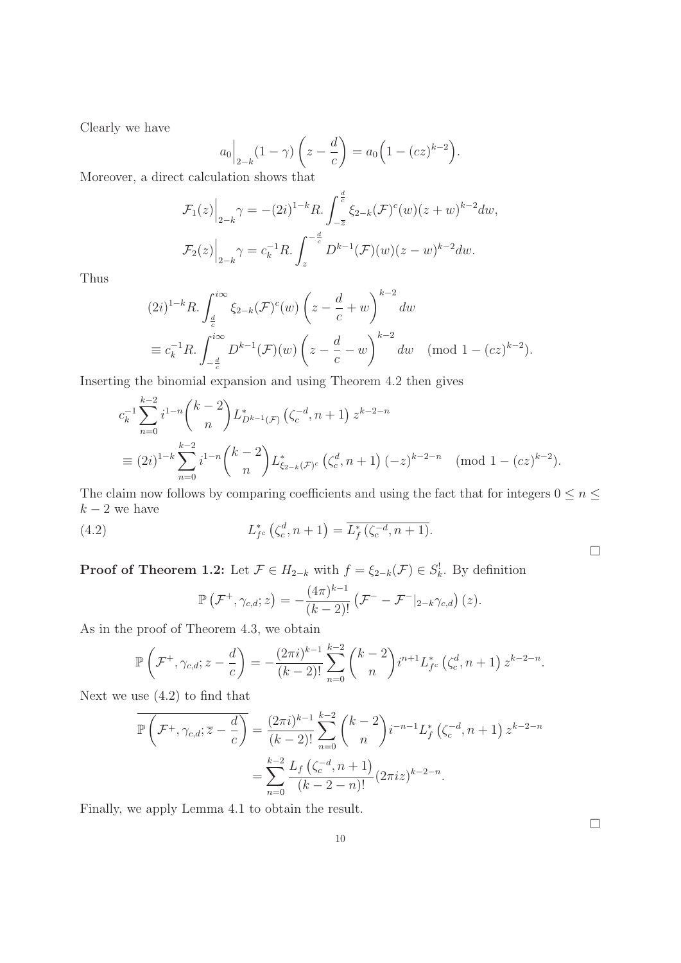Clearly we have

$$
a_0\Big|_{2-k}(1-\gamma)\left(z-\frac{d}{c}\right) = a_0\Big(1-(cz)^{k-2}\Big).
$$

Moreover, a direct calculation shows that

$$
\mathcal{F}_1(z)\Big|_{2-k} \gamma = -(2i)^{1-k} R \cdot \int_{-\overline{z}}^{\frac{d}{c}} \xi_{2-k}(\mathcal{F})^c(w) (z+w)^{k-2} dw,
$$
  

$$
\mathcal{F}_2(z)\Big|_{2-k} \gamma = c_k^{-1} R \cdot \int_z^{-\frac{d}{c}} D^{k-1}(\mathcal{F}) (w) (z-w)^{k-2} dw.
$$

Thus

$$
(2i)^{1-k}R \cdot \int_{\frac{d}{c}}^{i\infty} \xi_{2-k}(\mathcal{F})^c(w) \left(z - \frac{d}{c} + w\right)^{k-2} dw
$$
  

$$
\equiv c_k^{-1}R \cdot \int_{-\frac{d}{c}}^{i\infty} D^{k-1}(\mathcal{F})(w) \left(z - \frac{d}{c} - w\right)^{k-2} dw \pmod{1 - (cz)^{k-2}}.
$$

Inserting the binomial expansion and using Theorem 4.2 then gives

$$
c_k^{-1} \sum_{n=0}^{k-2} i^{1-n} {k-2 \choose n} L_{D^{k-1}(\mathcal{F})}^* \left(\zeta_c^{-d}, n+1\right) z^{k-2-n}
$$
  
\n
$$
\equiv (2i)^{1-k} \sum_{n=0}^{k-2} i^{1-n} {k-2 \choose n} L_{\xi_{2-k}(\mathcal{F})^c}^* \left(\zeta_c^d, n+1\right) (-z)^{k-2-n} \pmod{1-(cz)^{k-2}}.
$$

The claim now follows by comparing coefficients and using the fact that for integers  $0\leq n\leq$  $k-2$  we have

(4.2) 
$$
L_{f^c}^* (\zeta_c^d, n+1) = \overline{L_f^* (\zeta_c^{-d}, n+1)}.
$$

**Proof of Theorem 1.2:** Let  $\mathcal{F} \in H_{2-k}$  with  $f = \xi_{2-k}(\mathcal{F}) \in S_k^!$ . By definition

$$
\mathbb{P}\left(\mathcal{F}^+,\gamma_{c,d};z\right)=-\frac{(4\pi)^{k-1}}{(k-2)!}\left(\mathcal{F}^- - \mathcal{F}^-|_{2-k}\gamma_{c,d}\right)(z).
$$

As in the proof of Theorem 4.3, we obtain

$$
\mathbb{P}\left(\mathcal{F}^+,\gamma_{c,d};z-\frac{d}{c}\right)=-\frac{(2\pi i)^{k-1}}{(k-2)!}\sum_{n=0}^{k-2}\binom{k-2}{n}i^{n+1}L_{fc}^*\left(\zeta_c^d,n+1\right)z^{k-2-n}.
$$

Next we use (4.2) to find that

$$
\overline{\mathbb{P}\left(\mathcal{F}^+,\gamma_{c,d};\overline{z}-\frac{d}{c}\right)} = \frac{(2\pi i)^{k-1}}{(k-2)!} \sum_{n=0}^{k-2} {k-2 \choose n} i^{-n-1} L_f^* \left(\zeta_c^{-d}, n+1\right) z^{k-2-n}
$$

$$
= \sum_{n=0}^{k-2} \frac{L_f \left(\zeta_c^{-d}, n+1\right)}{(k-2-n)!} (2\pi i z)^{k-2-n}.
$$

Finally, we apply Lemma 4.1 to obtain the result.

 $\Box$ 

 $\Box$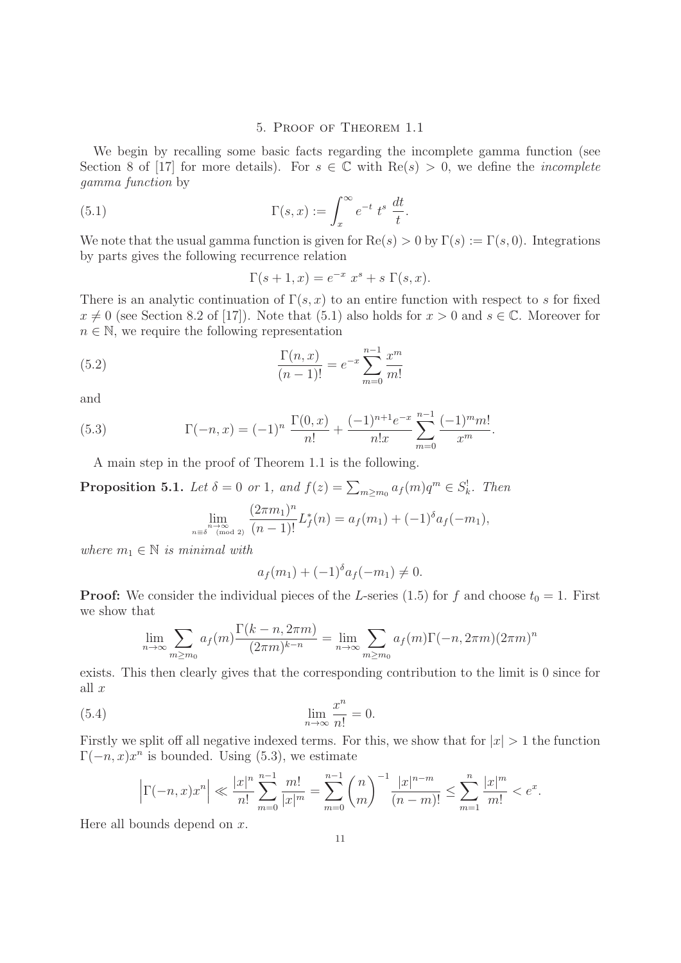### 5. Proof of Theorem 1.1

We begin by recalling some basic facts regarding the incomplete gamma function (see Section 8 of [17] for more details). For  $s \in \mathbb{C}$  with  $\text{Re}(s) > 0$ , we define the *incomplete* gamma function by

(5.1) 
$$
\Gamma(s,x) := \int_x^{\infty} e^{-t} t^s \frac{dt}{t}.
$$

We note that the usual gamma function is given for  $\text{Re}(s) > 0$  by  $\Gamma(s) := \Gamma(s, 0)$ . Integrations by parts gives the following recurrence relation

$$
\Gamma(s+1, x) = e^{-x} x^s + s \Gamma(s, x).
$$

There is an analytic continuation of  $\Gamma(s, x)$  to an entire function with respect to s for fixed  $x \neq 0$  (see Section 8.2 of [17]). Note that (5.1) also holds for  $x > 0$  and  $s \in \mathbb{C}$ . Moreover for  $n \in \mathbb{N}$ , we require the following representation

(5.2) 
$$
\frac{\Gamma(n,x)}{(n-1)!} = e^{-x} \sum_{m=0}^{n-1} \frac{x^m}{m!}
$$

and

(5.3) 
$$
\Gamma(-n, x) = (-1)^n \frac{\Gamma(0, x)}{n!} + \frac{(-1)^{n+1} e^{-x}}{n! x} \sum_{m=0}^{n-1} \frac{(-1)^m m!}{x^m}.
$$

A main step in the proof of Theorem 1.1 is the following.

**Proposition 5.1.** Let  $\delta = 0$  or 1, and  $f(z) = \sum_{m \ge m_0} a_f(m)q^m \in S_k^!$ . Then  $\binom{m}{n}$ 

$$
\lim_{n \to \infty} \lim_{n \to \infty} \frac{(2\pi m_1)^n}{(n-1)!} L_f^*(n) = a_f(m_1) + (-1)^{\delta} a_f(-m_1),
$$

where  $m_1 \in \mathbb{N}$  is minimal with

$$
a_f(m_1) + (-1)^{\delta} a_f(-m_1) \neq 0.
$$

**Proof:** We consider the individual pieces of the L-series (1.5) for f and choose  $t_0 = 1$ . First we show that

$$
\lim_{n \to \infty} \sum_{m \ge m_0} a_f(m) \frac{\Gamma(k-n, 2\pi m)}{(2\pi m)^{k-n}} = \lim_{n \to \infty} \sum_{m \ge m_0} a_f(m) \Gamma(-n, 2\pi m) (2\pi m)^n
$$

exists. This then clearly gives that the corresponding contribution to the limit is 0 since for all  $x$ 

(5.4) 
$$
\lim_{n \to \infty} \frac{x^n}{n!} = 0.
$$

Firstly we split off all negative indexed terms. For this, we show that for  $|x| > 1$  the function  $\Gamma(-n, x)x^n$  is bounded. Using (5.3), we estimate

$$
\left|\Gamma(-n,x)x^n\right| \ll \frac{|x|^n}{n!} \sum_{m=0}^{n-1} \frac{m!}{|x|^m} = \sum_{m=0}^{n-1} {n \choose m}^{-1} \frac{|x|^{n-m}}{(n-m)!} \le \sum_{m=1}^{n} \frac{|x|^m}{m!} < e^x.
$$

Here all bounds depend on  $x$ .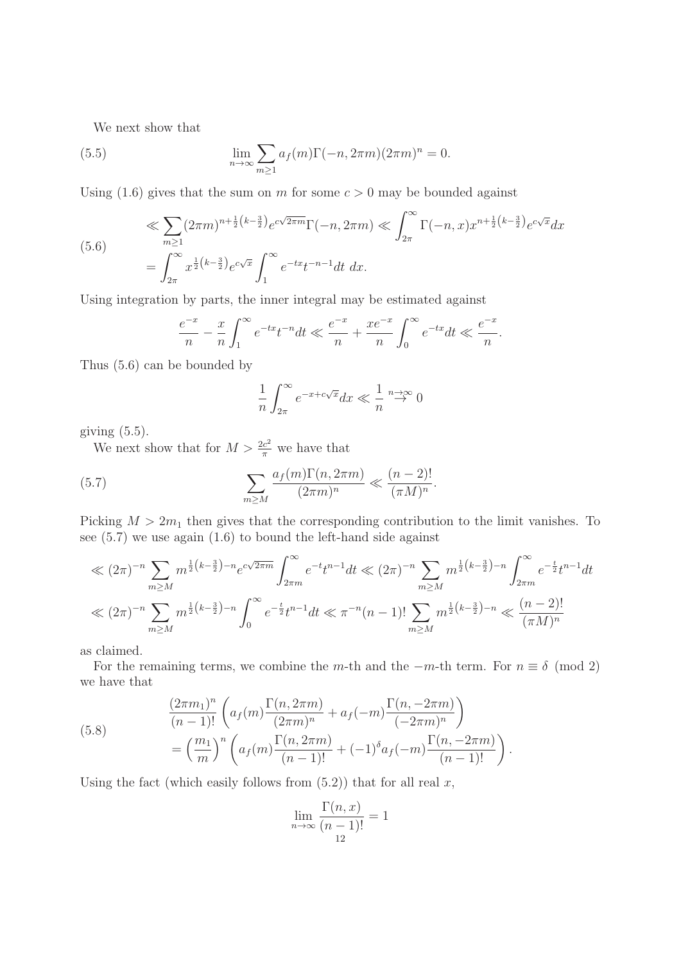We next show that

(5.5) 
$$
\lim_{n \to \infty} \sum_{m \ge 1} a_f(m) \Gamma(-n, 2\pi m) (2\pi m)^n = 0.
$$

Using (1.6) gives that the sum on m for some  $c > 0$  may be bounded against

$$
\ll \sum_{m\geq 1} (2\pi m)^{n+\frac{1}{2}\left(k-\frac{3}{2}\right)} e^{c\sqrt{2\pi m}} \Gamma(-n, 2\pi m) \ll \int_{2\pi}^{\infty} \Gamma(-n, x) x^{n+\frac{1}{2}\left(k-\frac{3}{2}\right)} e^{c\sqrt{x}} dx
$$
  
= 
$$
\int_{2\pi}^{\infty} x^{\frac{1}{2}\left(k-\frac{3}{2}\right)} e^{c\sqrt{x}} \int_{1}^{\infty} e^{-tx} t^{-n-1} dt \ dx.
$$

Using integration by parts, the inner integral may be estimated against

$$
\frac{e^{-x}}{n} - \frac{x}{n} \int_{1}^{\infty} e^{-tx} t^{-n} dt \ll \frac{e^{-x}}{n} + \frac{xe^{-x}}{n} \int_{0}^{\infty} e^{-tx} dt \ll \frac{e^{-x}}{n}.
$$

Thus (5.6) can be bounded by

$$
\frac{1}{n} \int_{2\pi}^{\infty} e^{-x + c\sqrt{x}} dx \ll \frac{1}{n} \stackrel{n \to \infty}{\to} 0
$$

giving  $(5.5)$ .

We next show that for  $M > \frac{2c^2}{\pi}$  we have that

(5.7) 
$$
\sum_{m\geq M} \frac{a_f(m)\Gamma(n,2\pi m)}{(2\pi m)^n} \ll \frac{(n-2)!}{(\pi M)^n}.
$$

Picking  $M > 2m_1$  then gives that the corresponding contribution to the limit vanishes. To see (5.7) we use again (1.6) to bound the left-hand side against

$$
\ll (2\pi)^{-n} \sum_{m \ge M} m^{\frac{1}{2}(k-\frac{3}{2})-n} e^{c\sqrt{2\pi m}} \int_{2\pi m}^{\infty} e^{-t} t^{n-1} dt \ll (2\pi)^{-n} \sum_{m \ge M} m^{\frac{1}{2}(k-\frac{3}{2})-n} \int_{2\pi m}^{\infty} e^{-\frac{t}{2}} t^{n-1} dt
$$
  

$$
\ll (2\pi)^{-n} \sum_{m \ge M} m^{\frac{1}{2}(k-\frac{3}{2})-n} \int_{0}^{\infty} e^{-\frac{t}{2}} t^{n-1} dt \ll \pi^{-n} (n-1)! \sum_{m \ge M} m^{\frac{1}{2}(k-\frac{3}{2})-n} \ll \frac{(n-2)!}{(\pi M)^n}
$$

as claimed.

For the remaining terms, we combine the m-th and the  $-m$ -th term. For  $n \equiv \delta \pmod{2}$ we have that

(5.8) 
$$
\frac{(2\pi m_1)^n}{(n-1)!} \left( a_f(m) \frac{\Gamma(n, 2\pi m)}{(2\pi m)^n} + a_f(-m) \frac{\Gamma(n, -2\pi m)}{(-2\pi m)^n} \right) \n= \left( \frac{m_1}{m} \right)^n \left( a_f(m) \frac{\Gamma(n, 2\pi m)}{(n-1)!} + (-1)^{\delta} a_f(-m) \frac{\Gamma(n, -2\pi m)}{(n-1)!} \right).
$$

Using the fact (which easily follows from  $(5.2)$ ) that for all real x,

$$
\lim_{n \to \infty} \frac{\Gamma(n, x)}{(n - 1)!} = 1
$$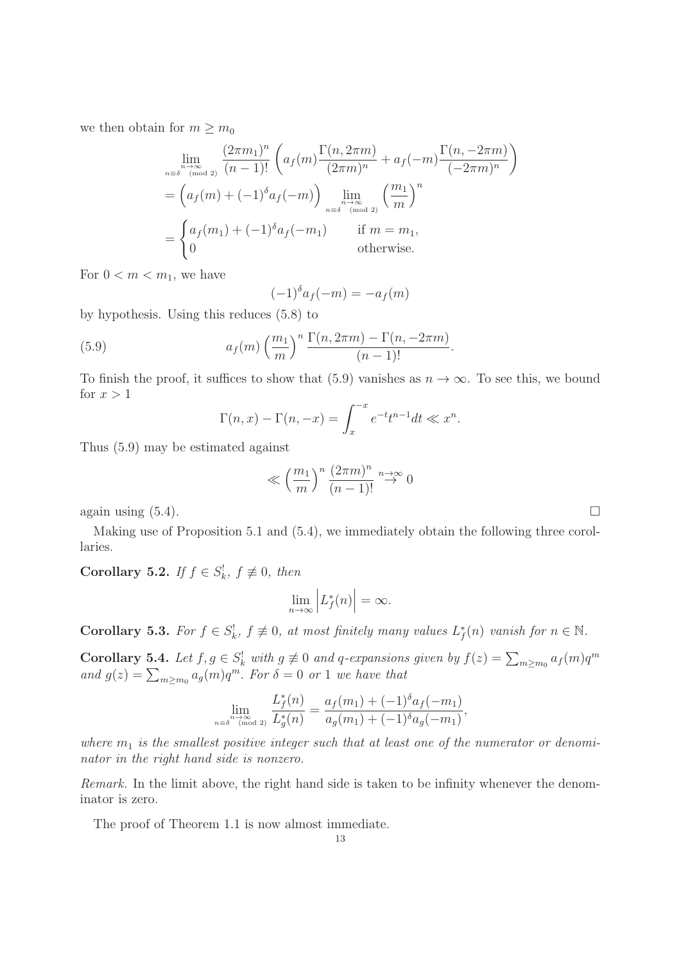we then obtain for  $m \geq m_0$ 

$$
\lim_{n \to \infty} \frac{(2\pi m_1)^n}{(n-1)!} \left( a_f(m) \frac{\Gamma(n, 2\pi m)}{(2\pi m)^n} + a_f(-m) \frac{\Gamma(n, -2\pi m)}{(-2\pi m)^n} \right)
$$
\n
$$
= \left( a_f(m) + (-1)^{\delta} a_f(-m) \right) \lim_{n \to \infty} \left( \frac{m_1}{m} \right)^n
$$
\n
$$
= \begin{cases} a_f(m_1) + (-1)^{\delta} a_f(-m_1) & \text{if } m = m_1, \\ 0 & \text{otherwise.} \end{cases}
$$

For  $0 < m < m_1$ , we have

$$
(-1)^{\delta} a_f(-m) = -a_f(m)
$$

by hypothesis. Using this reduces (5.8) to

(5.9) 
$$
a_f(m) \left(\frac{m_1}{m}\right)^n \frac{\Gamma(n, 2\pi m) - \Gamma(n, -2\pi m)}{(n-1)!}.
$$

To finish the proof, it suffices to show that (5.9) vanishes as  $n \to \infty$ . To see this, we bound for  $x > 1$ 

$$
\Gamma(n,x) - \Gamma(n,-x) = \int_x^{-x} e^{-t} t^{n-1} dt \ll x^n.
$$

Thus (5.9) may be estimated against

$$
\ll \left(\frac{m_1}{m}\right)^n \frac{(2\pi m)^n}{(n-1)!} \stackrel{n \to \infty}{\to} 0
$$

again using  $(5.4)$ .

Making use of Proposition 5.1 and (5.4), we immediately obtain the following three corollaries.

**Corollary 5.2.** If  $f \in S_k^!$ ,  $f \not\equiv 0$ , then

$$
\lim_{n \to \infty} \left| L_f^*(n) \right| = \infty.
$$

**Corollary 5.3.** For  $f \in S_k^!$ ,  $f \not\equiv 0$ , at most finitely many values  $L_f^*(n)$  vanish for  $n \in \mathbb{N}$ .

**Corollary 5.4.** Let  $f, g \in S^!_k$  with  $g \neq 0$  and q-expansions given by  $f(z) = \sum_{m \geq m_0} a_f(m)q^m$ and  $g(z) = \sum_{m \ge m_0} a_g(m) q^m$ . For  $\delta = 0$  or 1 we have that

$$
\lim_{n \to \infty} \frac{L_f^*(n)}{L_g^*(n)} = \frac{a_f(m_1) + (-1)^\delta a_f(-m_1)}{a_g(m_1) + (-1)^\delta a_g(-m_1)},
$$

where  $m_1$  is the smallest positive integer such that at least one of the numerator or denominator in the right hand side is nonzero.

Remark. In the limit above, the right hand side is taken to be infinity whenever the denominator is zero.

The proof of Theorem 1.1 is now almost immediate.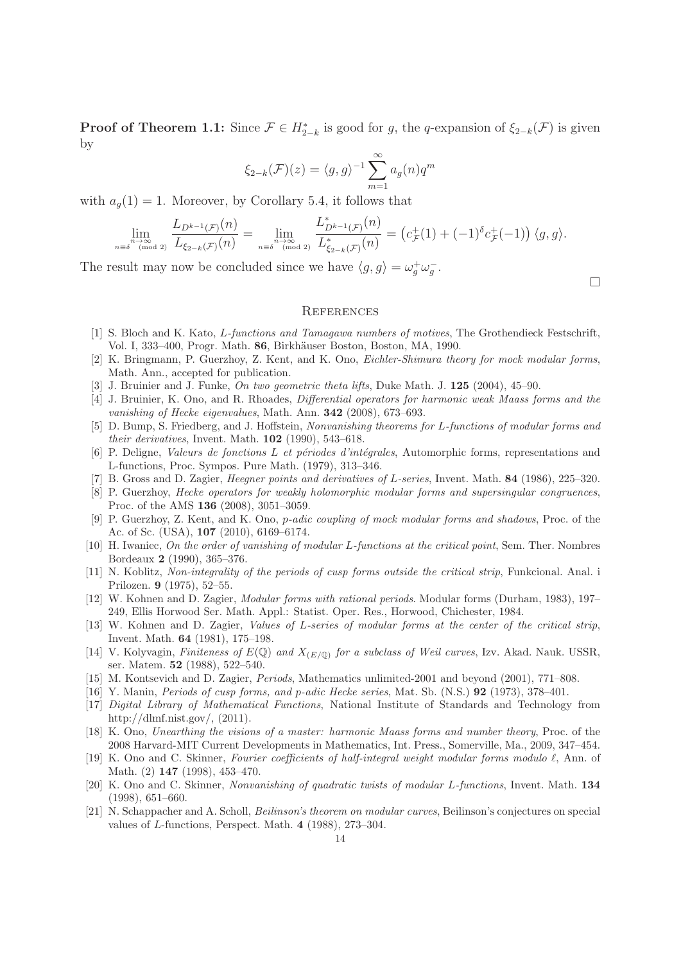**Proof of Theorem 1.1:** Since  $\mathcal{F} \in H_{2-k}^*$  is good for g, the q-expansion of  $\xi_{2-k}(\mathcal{F})$  is given by

$$
\xi_{2-k}(\mathcal{F})(z) = \langle g, g \rangle^{-1} \sum_{m=1}^{\infty} a_g(n) q^m
$$

with  $a_g(1) = 1$ . Moreover, by Corollary 5.4, it follows that

$$
\lim_{n \to \infty} \frac{L_{D^{k-1}(\mathcal{F})}(n)}{L_{\xi_{2-k}(\mathcal{F})}(n)} = \lim_{n \to \infty} \frac{L_{D^{k-1}(\mathcal{F})}^*(n)}{L_{\xi_{2-k}(\mathcal{F})}^*(n)} = (c_{\mathcal{F}}^+(1) + (-1)^{\delta} c_{\mathcal{F}}^+(-1)) \langle g, g \rangle.
$$

The result may now be concluded since we have  $\langle g, g \rangle = \omega_g^+ \omega_g^-$ .

 $\Box$ 

#### **REFERENCES**

- [1] S. Bloch and K. Kato, L-functions and Tamagawa numbers of motives. The Grothendieck Festschrift, Vol. I, 333–400, Progr. Math. 86, Birkhäuser Boston, Boston, MA, 1990.
- [2] K. Bringmann, P. Guerzhoy, Z. Kent, and K. Ono, Eichler-Shimura theory for mock modular forms, Math. Ann., accepted for publication.
- [3] J. Bruinier and J. Funke, On two geometric theta lifts, Duke Math. J. **125** (2004), 45–90.
- [4] J. Bruinier, K. Ono, and R. Rhoades, Differential operators for harmonic weak Maass forms and the vanishing of Hecke eigenvalues, Math. Ann. **342** (2008), 673–693.
- [5] D. Bump, S. Friedberg, and J. Hoffstein, Nonvanishing theorems for L-functions of modular forms and their derivatives, Invent. Math. **102** (1990), 543–618.
- [6] P. Deligne, Valeurs de fonctions L et p´eriodes d'int´egrales, Automorphic forms, representations and L-functions, Proc. Sympos. Pure Math. (1979), 313–346.
- [7] B. Gross and D. Zagier, Heegner points and derivatives of L-series, Invent. Math. **84** (1986), 225–320.
- [8] P. Guerzhoy, Hecke operators for weakly holomorphic modular forms and supersingular congruences, Proc. of the AMS **136** (2008), 3051–3059.
- [9] P. Guerzhoy, Z. Kent, and K. Ono, p-adic coupling of mock modular forms and shadows, Proc. of the Ac. of Sc. (USA), **107** (2010), 6169–6174.
- [10] H. Iwaniec, On the order of vanishing of modular L-functions at the critical point, Sem. Ther. Nombres Bordeaux **2** (1990), 365–376.
- [11] N. Koblitz, Non-integrality of the periods of cusp forms outside the critical strip, Funkcional. Anal. i Prilozen. **9** (1975), 52–55.
- [12] W. Kohnen and D. Zagier, Modular forms with rational periods. Modular forms (Durham, 1983), 197– 249, Ellis Horwood Ser. Math. Appl.: Statist. Oper. Res., Horwood, Chichester, 1984.
- [13] W. Kohnen and D. Zagier, Values of L-series of modular forms at the center of the critical strip, Invent. Math. **64** (1981), 175–198.
- [14] V. Kolyvagin, Finiteness of  $E(\mathbb{Q})$  and  $X_{(E/\mathbb{Q})}$  for a subclass of Weil curves, Izv. Akad. Nauk. USSR, ser. Matem. **52** (1988), 522–540.
- [15] M. Kontsevich and D. Zagier, Periods, Mathematics unlimited-2001 and beyond (2001), 771–808.
- [16] Y. Manin, Periods of cusp forms, and p-adic Hecke series, Mat. Sb. (N.S.) **92** (1973), 378–401.
- [17] Digital Library of Mathematical Functions, National Institute of Standards and Technology from http://dlmf.nist.gov/, (2011).
- [18] K. Ono, Unearthing the visions of a master: harmonic Maass forms and number theory, Proc. of the 2008 Harvard-MIT Current Developments in Mathematics, Int. Press., Somerville, Ma., 2009, 347–454.
- [19] K. Ono and C. Skinner, Fourier coefficients of half-integral weight modular forms modulo  $\ell$ , Ann. of Math. (2) **147** (1998), 453–470.
- [20] K. Ono and C. Skinner, Nonvanishing of quadratic twists of modular L-functions, Invent. Math. **134** (1998), 651–660.
- [21] N. Schappacher and A. Scholl, Beilinson's theorem on modular curves, Beilinson's conjectures on special values of L-functions, Perspect. Math. **4** (1988), 273–304.